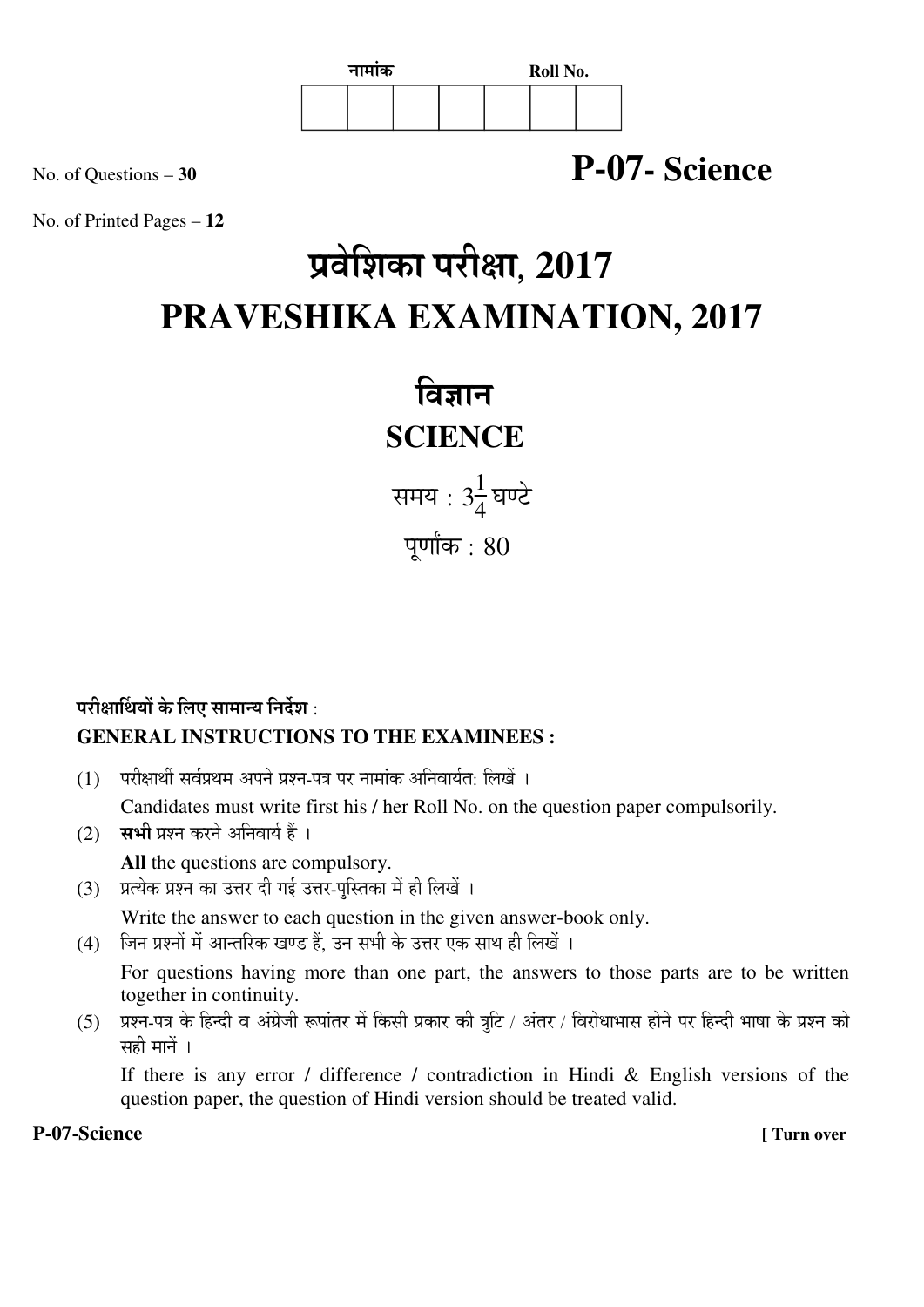

# No. of Questions – **<sup>30</sup> P-07- Science**

No. of Printed Pages – **12**

# प्रवेशिका परीक्षा, 2017 **PRAVESHIKA EXAMINATION, 2017**

विज्ञान **SCIENCE** 

समय : 3 $\frac{1}{4}$  $\frac{1}{4}$ घण्टे पूर्णांक $: 80$ 

# परीक्षार्थियों के लिए सामान्य निर्देश : **GENERAL INSTRUCTIONS TO THE EXAMINEES :**

- $(1)$  परीक्षार्थी सर्वप्रथम अपने प्रश्न-पत्र पर नामांक अनिवार्यत: लिखें । Candidates must write first his / her Roll No. on the question paper compulsorily.
- (2) सभी प्रश्न करने अनिवार्य हैं । **All** the questions are compulsory.
- (3) प्रत्येक प्रश्न का उत्तर दी गई उत्तर-पुस्तिका में ही लिखें । Write the answer to each question in the given answer-book only.
- (4) जिन प्रश्नों में आन्तरिक खण्ड हैं. उन सभी के उत्तर एक साथ ही लिखें ।

 For questions having more than one part, the answers to those parts are to be written together in continuity.

(5) प्रश्न-पत्र के हिन्दी व अंग्रेजी रूपांतर में किसी प्रकार की त्रूटि / अंतर / विरोधाभास होने पर हिन्दी भाषा के प्रश्न को सही मानें ।

 If there is any error / difference / contradiction in Hindi & English versions of the question paper, the question of Hindi version should be treated valid.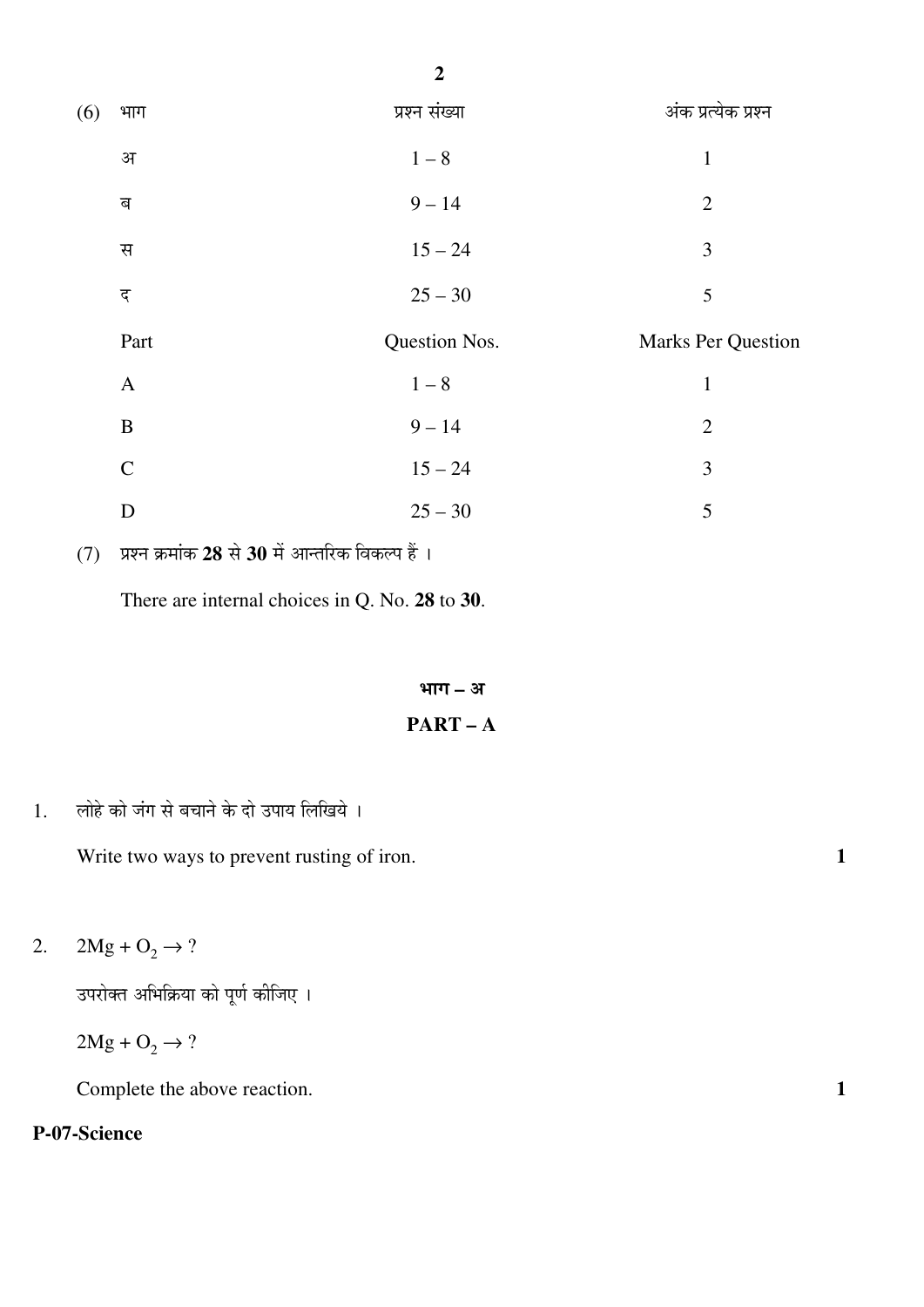| (6) | भाग          | प्रश्न संख्या | अंक प्रत्येक प्रश्न       |
|-----|--------------|---------------|---------------------------|
|     | अ            | $1-8$         | $\mathbf{1}$              |
|     | ब            | $9 - 14$      | $\overline{2}$            |
|     | स            | $15 - 24$     | 3                         |
|     | द            | $25 - 30$     | 5                         |
|     |              |               |                           |
|     | Part         | Question Nos. | <b>Marks Per Question</b> |
|     | $\mathbf{A}$ | $1-8$         | $\mathbf{1}$              |
|     | $\, {\bf B}$ | $9 - 14$      | $\overline{2}$            |
|     | $\mathbf C$  | $15 - 24$     | 3                         |

(7) प्रश्न क्रमांक 28 से 30 में आन्तरिक विकल्प हैं।

There are internal choices in Q. No. **28** to **30**.

#### भाग – अ

#### **PART – A**

1. लोहे को जंग से बचाने के दो उपाय लिखिये ।

Write two ways to prevent rusting of iron. **1** 

2.  $2Mg + O_2 \to ?$ 

उपरोक्त अभिक्रिया को पूर्ण कीजिए ।

 $2Mg + O_2 \rightarrow ?$ 

Complete the above reaction. **1**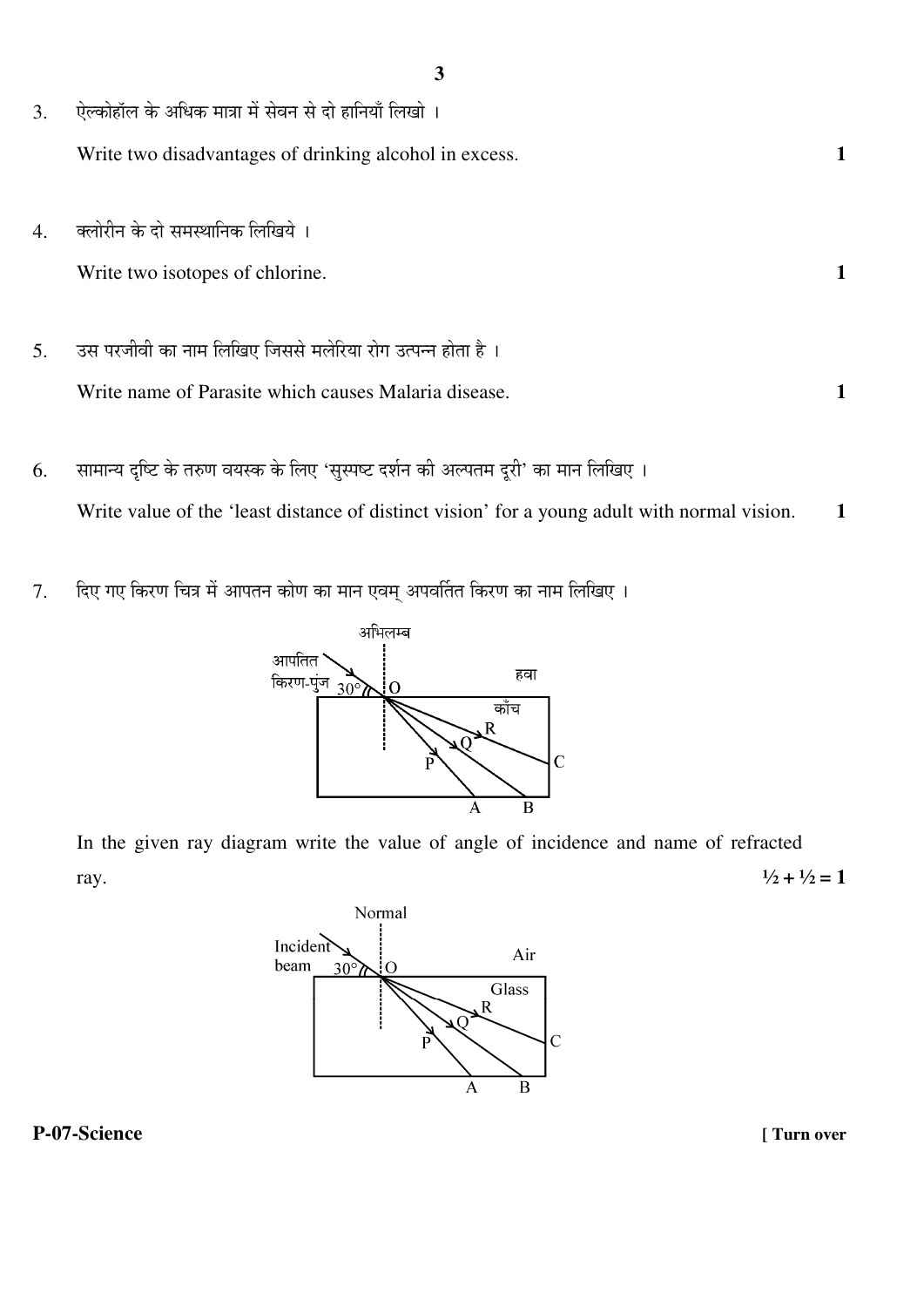| 3. | ऐल्कोहॉल के अधिक मात्रा में सेवन से दो हानियाँ लिखो ।      |  |
|----|------------------------------------------------------------|--|
|    | Write two disadvantages of drinking alcohol in excess.     |  |
|    |                                                            |  |
| 4. | क्लोरीन के दो समस्थानिक लिखिये ।                           |  |
|    | Write two isotopes of chlorine.                            |  |
|    |                                                            |  |
| 5. | उस परजीवी का नाम लिखिए जिससे मलेरिया रोग उत्पन्न होता है । |  |
|    | Write name of Parasite which causes Malaria disease.       |  |

- 6. सामान्य दृष्टि के तरुण वयस्क के लिए 'सुस्पष्ट दर्शन की अल्पतम दूरी' का मान लिखिए । Write value of the 'least distance of distinct vision' for a young adult with normal vision. 1
- 7. दिए गए किरण चित्र में आपतन कोण का मान एवम् अपवर्तित किरण का नाम लिखिए ।



In the given ray diagram write the value of angle of incidence and name of refracted ray.  $\frac{1}{2} + \frac{1}{2} = 1$ 

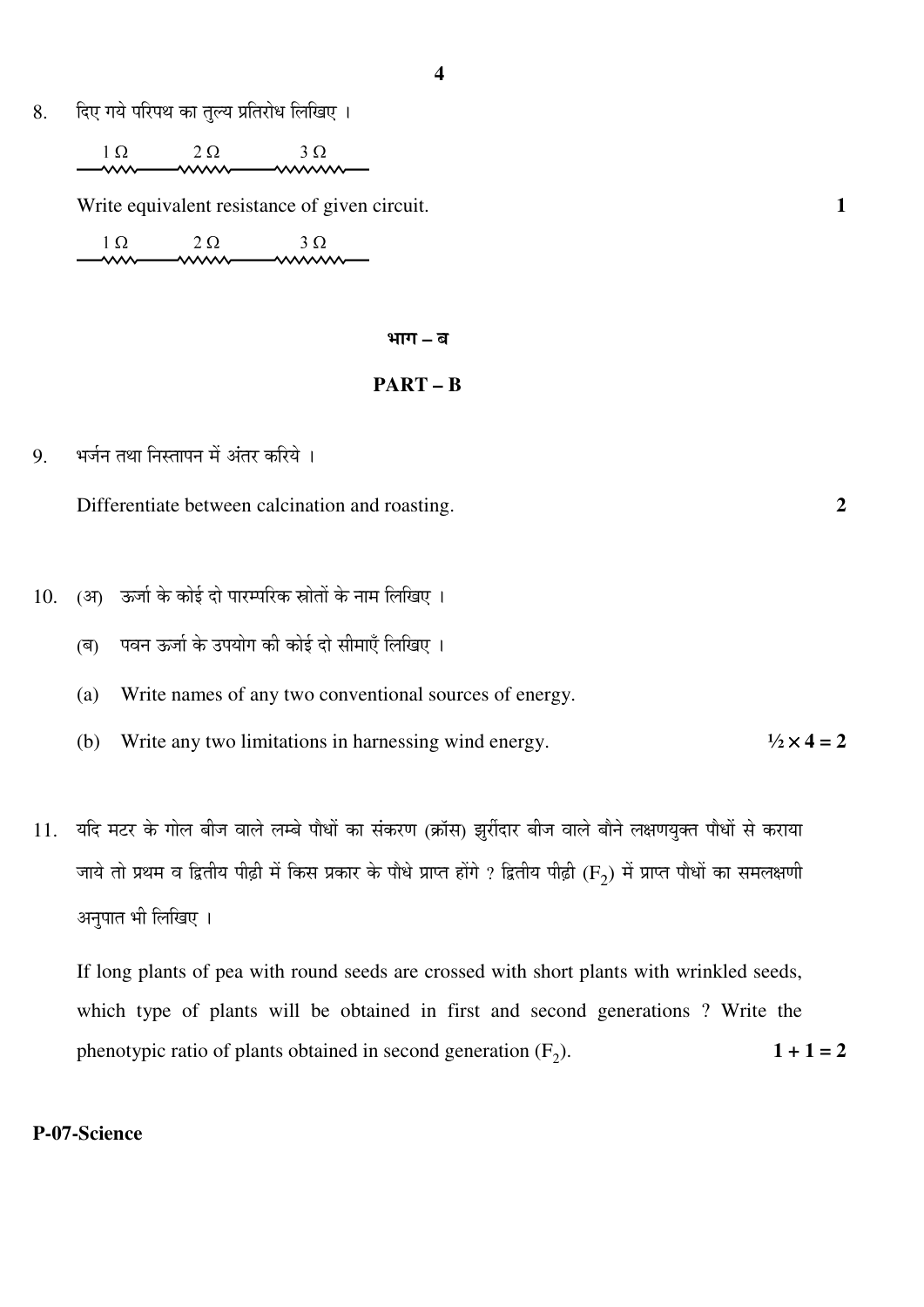8. हिए गये परिपथ का तुल्य प्रतिरोध लिखिए ।

 $1 \Omega$  $2\Omega$  $3 \Omega$ 

Write equivalent resistance of given circuit. **1** 

 $1\Omega$  $2\ \Omega$  $3\Omega$  mm  $\mathsf{w}\mathsf{w}$ **AAAA** 

#### भाग – ब

i<br>I

#### **PART – B**

9. भर्जन तथा निस्तापन में अंतर करिये ।

Differentiate between calcination and roasting. **2** 

- 10. (अ) ऊर्जा के कोई दो पारम्परिक स्रोतों के नाम लिखिए ।
	- (ब) पवन ऊर्जा के उपयोग की कोई दो सीमाएँ लिखिए ।
	- (a) Write names of any two conventional sources of energy.
	- (b) Write any two limitations in harnessing wind energy.  $\frac{1}{2} \times 4 = 2$
- 11. यदि मटर के गोल बीज वाले लम्बे पौधों का संकरण (क्रॉस) झुर्रीदार बीज वाले बौने लक्षणयुक्त पौधों से कराया जाये तो प्रथम व द्वितीय पीढ़ी में किस प्रकार के पौधे प्राप्त होंगे ? द्वितीय पीढ़ी (F<sub>2</sub>) में प्राप्त पौधों का समलक्षणी अनुपात भी लिखिए ।

If long plants of pea with round seeds are crossed with short plants with wrinkled seeds, which type of plants will be obtained in first and second generations ? Write the phenotypic ratio of plants obtained in second generation  $(F_2)$ .  $1 + 1 = 2$ 

#### **P-07-Science**

**4**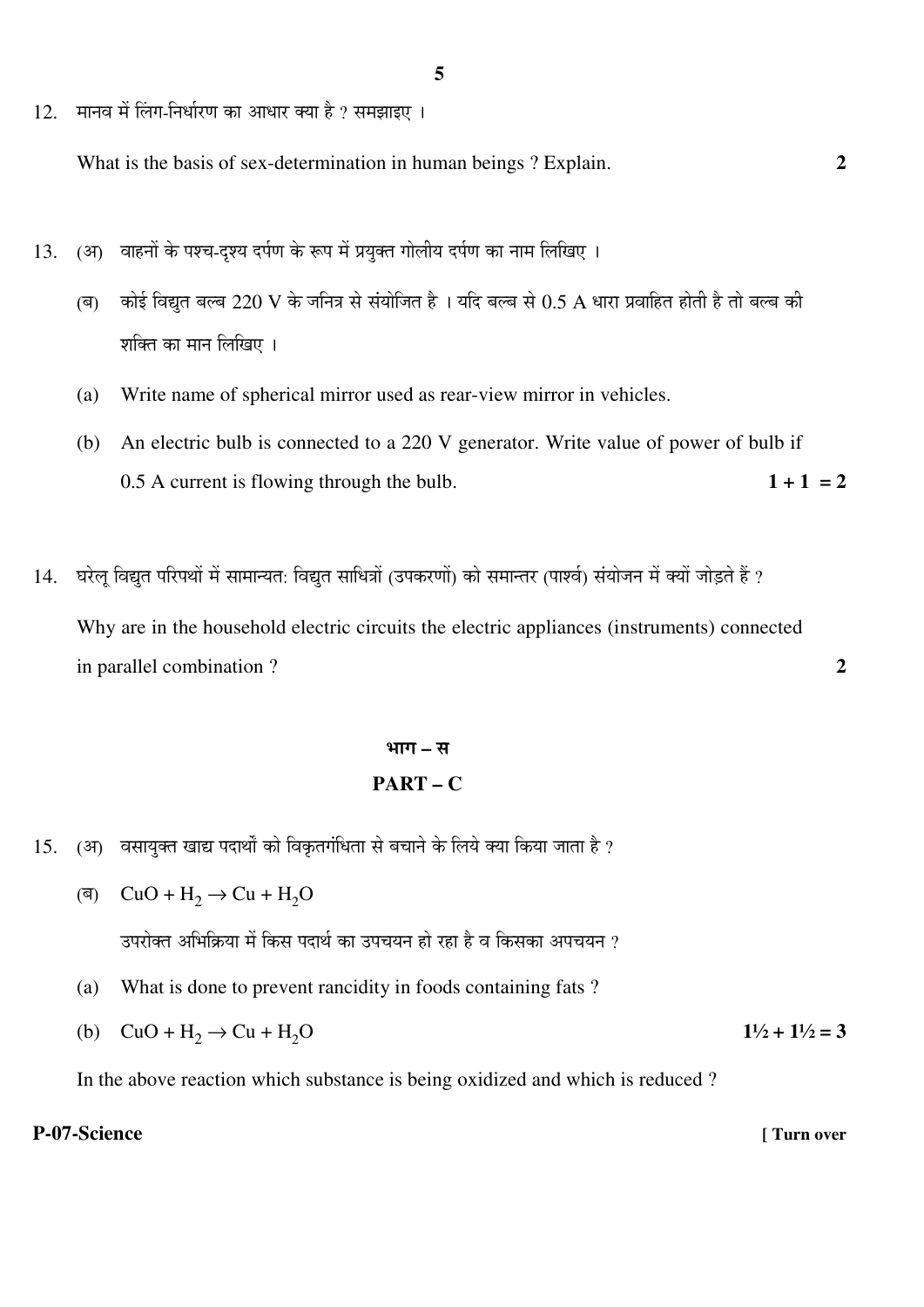12. मानव में लिंग-निर्धारण का आधार क्या है ? समझाइए ।

What is the basis of sex-determination in human beings ? Explain. **2**

- 13. (अ) वाहनों के पश्च-दृश्य दर्पण के रूप में प्रयुक्त गोलीय दर्पण का नाम लिखिए ।
	- (ब) कोई विद्युत बल्ब 220 V के जनित्र से संयोजित है । यदि बल्ब से  $0.5$  A धारा प्रवाहित होती है तो बल्ब की शक्ति का मान लिखिए ।
	- (a) Write name of spherical mirror used as rear-view mirror in vehicles.
	- (b) An electric bulb is connected to a 220 V generator. Write value of power of bulb if 0.5 A current is flowing through the bulb.  $1 + 1 = 2$
- 14. घरेलू विद्युत परिपथों में सामान्यत: विद्युत साधित्रों (उपकरणों) को समान्तर (पार्श्व) संयोजन में क्यों जोड़ते हैं ? Why are in the household electric circuits the electric appliances (instruments) connected in parallel combination ? **2**

# ³ÖÖÝÖ **–** ÃÖ

#### **PART – C**

- 15. (अ) वसायुक्त खाद्य पदार्थों को विकृतगंधिता से बचाने के लिये क्या किया जाता है ?
	- (ब)  $CuO + H_2$  → Cu + H<sub>2</sub>O उपरोक्त अभिक्रिया में किस पदार्थ का उपचयन हो रहा है व किसका अपचयन ?
		- (a) What is done to prevent rancidity in foods containing fats ?
		- (b)  $CuO + H_2 \rightarrow Cu + H_2O$  **1**<sup>1</sup>/<sub>2</sub> + **1**<sup>1</sup>/<sub>2</sub> = **3**

In the above reaction which substance is being oxidized and which is reduced ?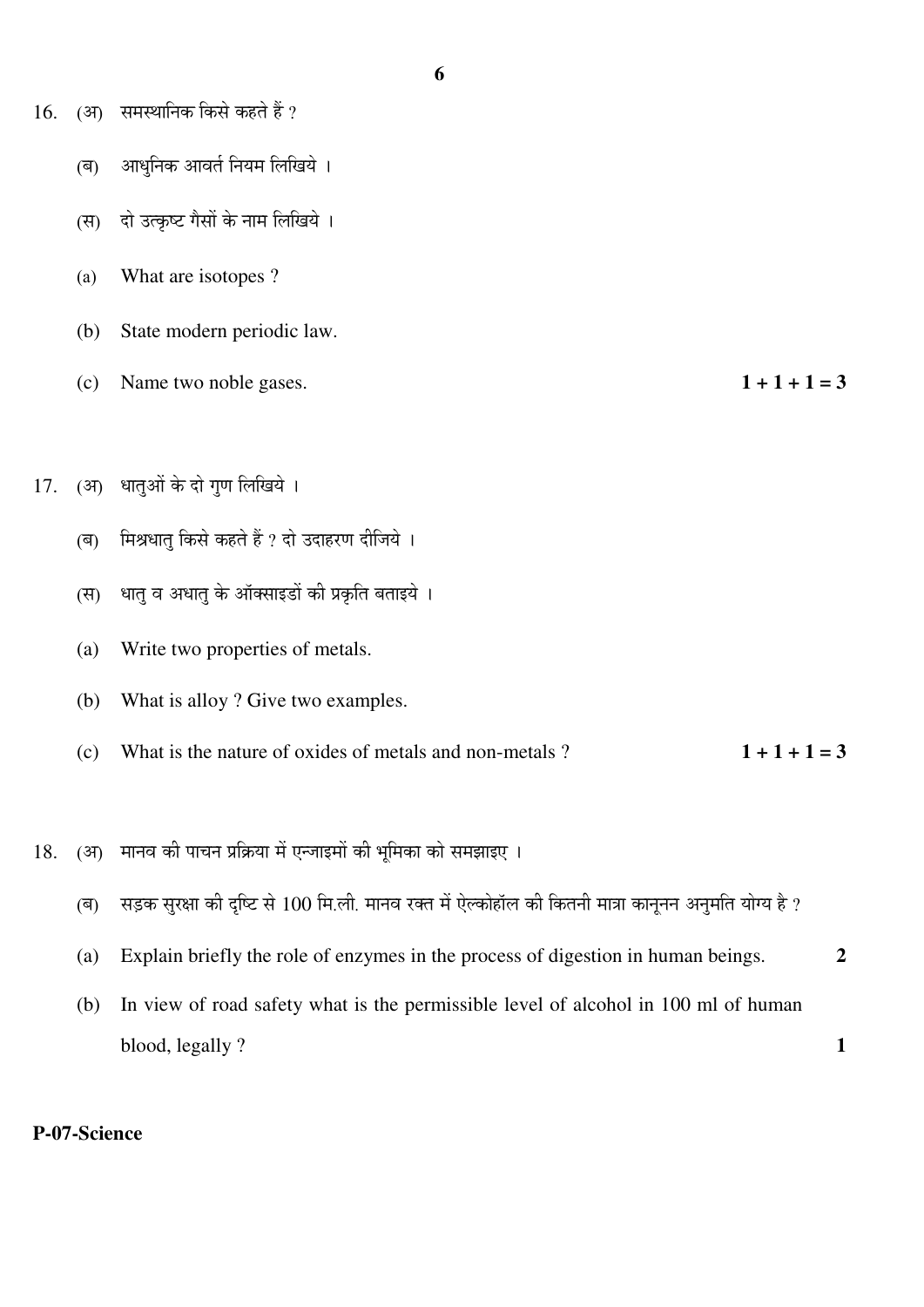- $16.$  (अ) समस्थानिक किसे कहते हैं ?
	- (ब) आधुनिक आवर्त नियम लिखिये ।
	- (स) दो उत्कृष्ट गैसों के नाम लिखिये ।
	- (a) What are isotopes ?
	- (b) State modern periodic law.
	- (c) Name two noble gases.  $1 + 1 + 1 = 3$
- 17. (अ) धातुओं के दो गण लिखिये ।
	- (ब) मिश्रधातु किसे कहते हैं ? दो उदाहरण दीजिये ।
	- (स) धात् व अधात् के ऑक्साइडों की प्रकृति बताइये ।
	- (a) Write two properties of metals.
	- (b) What is alloy ? Give two examples.
	- (c) What is the nature of oxides of metals and non-metals ?  $1 + 1 + 1 = 3$
- 18. (अ) मानव की पाचन प्रक्रिया में एन्जाइमों की भूमिका को समझाइए ।
	- (ब) सड़क सुरक्षा की दृष्टि से 100 मि.ली. मानव रक्त में ऐल्कोहॉल की कितनी मात्रा कानूनन अनुमति योग्य है ?
	- (a) Explain briefly the role of enzymes in the process of digestion in human beings. **2**
	- (b) In view of road safety what is the permissible level of alcohol in 100 ml of human blood, legally ? **1**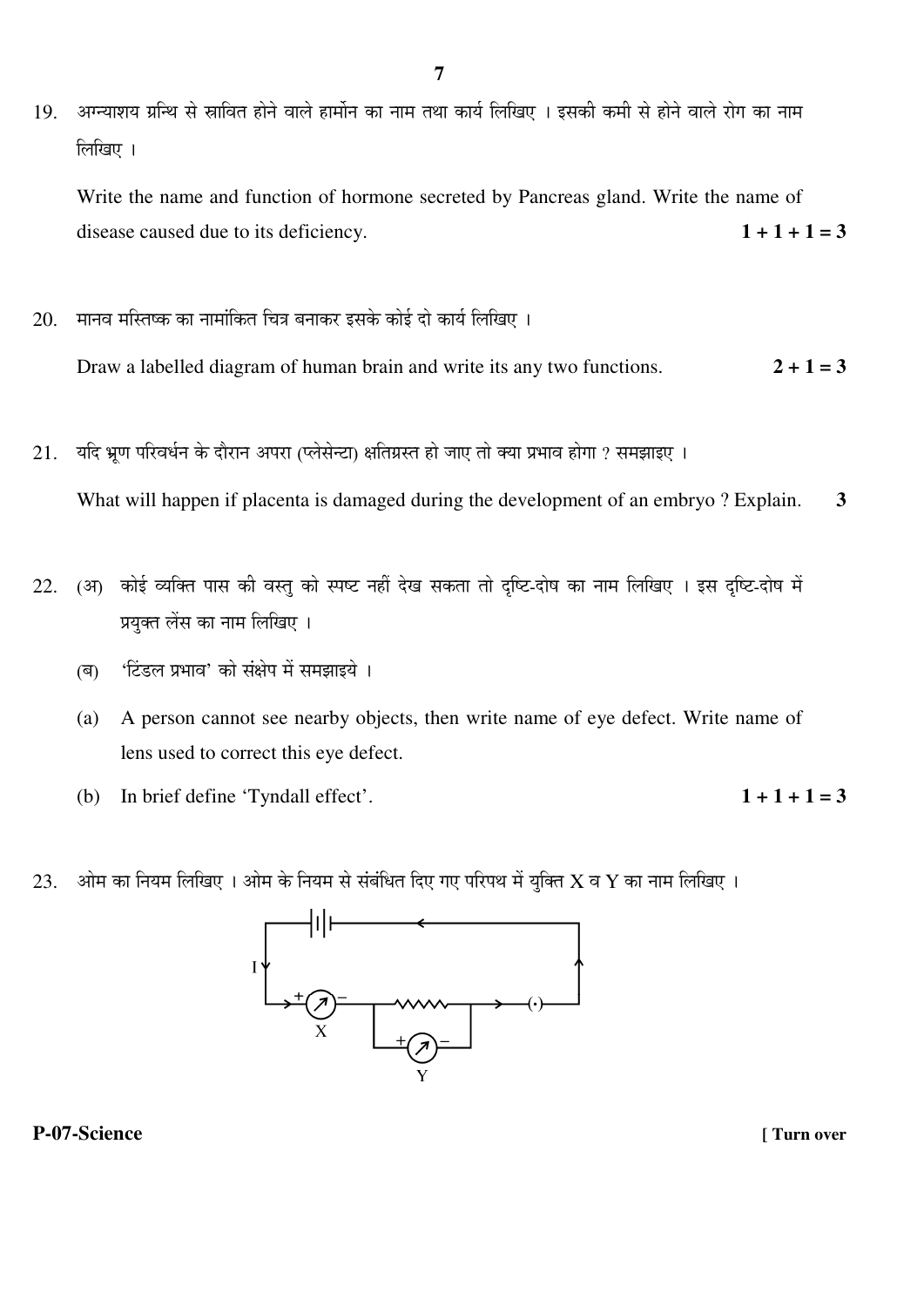19. अग्न्याशय ग्रन्थि से स्रावित होने वाले हार्मोन का नाम तथा कार्य लिखिए । इसकी कमी से होने वाले रोग का नाम  $\widehat{\mathbb{R}}$ थिए ।

Write the name and function of hormone secreted by Pancreas gland. Write the name of disease caused due to its deficiency.  $1 + 1 + 1 = 3$ 

20. मानव मस्तिष्क का नामांकित चित्र बनाकर इसके कोई दो कार्य लिखिए ।

Draw a labelled diagram of human brain and write its any two functions.  $2 + 1 = 3$ 

21. यदि भ्रण परिवर्धन के दौरान अपरा (प्लेसेन्टा) क्षतिग्रस्त हो जाए तो क्या प्रभाव होगा ? समझाइए ।

What will happen if placenta is damaged during the development of an embryo ? Explain. **3** 

- 22. (अ) कोई व्यक्ति पास की वस्तु को स्पष्ट नहीं देख सकता तो दृष्टि-दोष का नाम लिखिए । इस दृष्टि-दोष में प्रयक्त लेंस का नाम लिखिए ।
	- (ब) 'टिंडल प्रभाव' को संक्षेप में समझाइये ।
	- (a) A person cannot see nearby objects, then write name of eye defect. Write name of lens used to correct this eye defect.
	- (b) In brief define 'Tyndall effect'.  $1 + 1 + 1 = 3$
- 
- $23.$  ओम का नियम लिखिए । ओम के नियम से संबंधित दिए गए परिपथ में युक्ति  $\bf{X}$  व  $\bf{Y}$  का नाम लिखिए ।

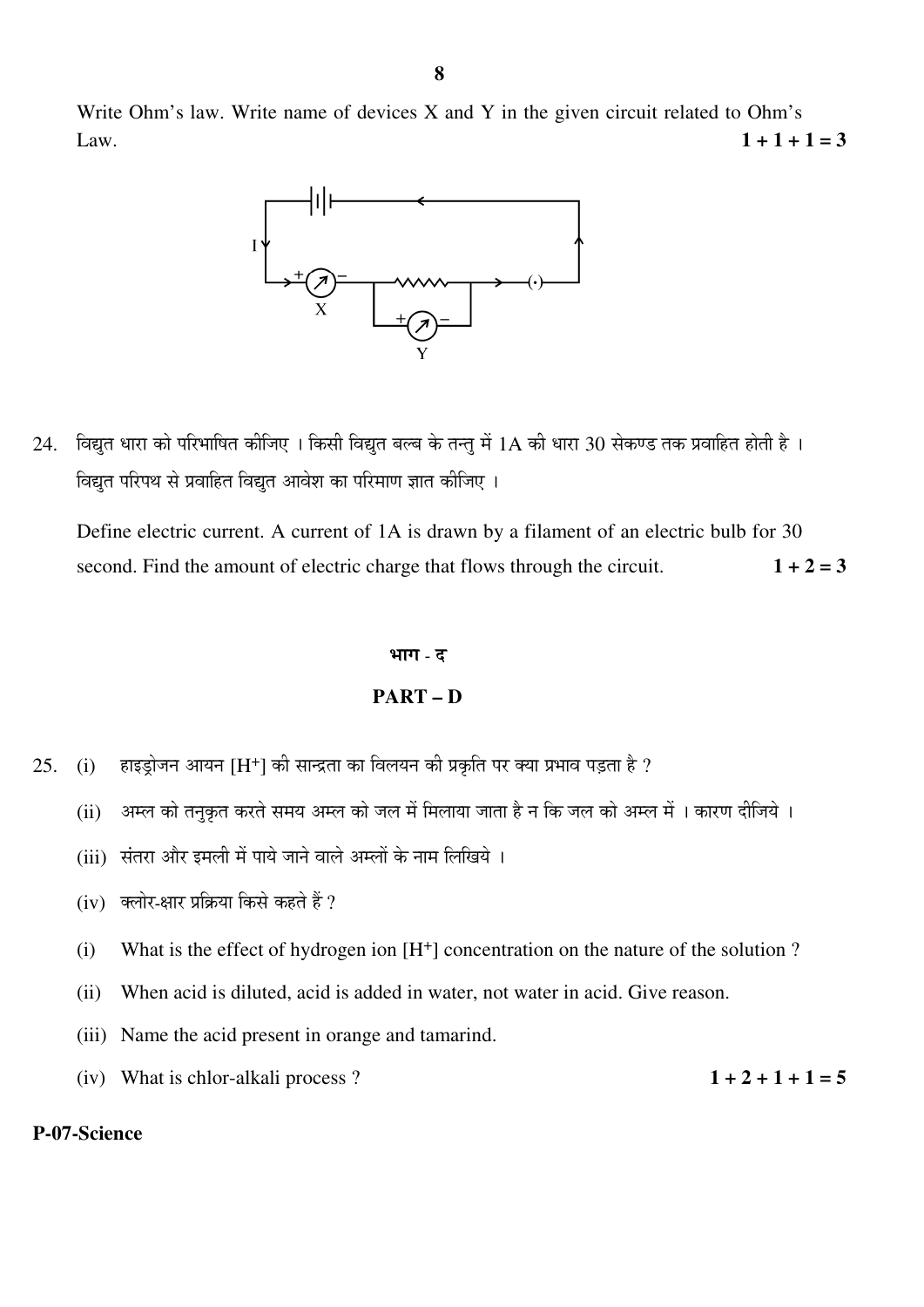Write Ohm's law. Write name of devices X and Y in the given circuit related to Ohm's Law.  $1 + 1 + 1 = 3$ 



 $24$ . विद्युत धारा को परिभाषित कीजिए । किसी विद्युत बल्ब के तन्तु में  $1\text{A}$  की धारा  $30$  सेकण्ड तक प्रवाहित होती है । <u>विद्युत परिपथ से प्रवाहित विद्युत आवेश का परिमाण ज्ञात कीजिए ।</u>

Define electric current. A current of 1A is drawn by a filament of an electric bulb for 30 second. Find the amount of electric charge that flows through the circuit.  $1 + 2 = 3$ 

#### भाग - द

#### **PART – D**

- 25. (i) हाइड्रोजन आयन [H<sup>+</sup>] की सान्द्रता का विलयन की प्रकृति पर क्या प्रभाव पड़ता है ?
	- (ii) अम्ल को तनुकृत करते समय अम्ल को जल में मिलाया जाता है न कि जल को अम्ल में । कारण दीजिये ।
	- $(iii)$  संतरा और इमली में पाये जाने वाले अम्लों के नाम लिखिये ।
	- $(iv)$  क्लोर-क्षार प्रक्रिया किसे कहते हैं ?
	- (i) What is the effect of hydrogen ion [H+] concentration on the nature of the solution ?
	- (ii) When acid is diluted, acid is added in water, not water in acid. Give reason.
	- (iii) Name the acid present in orange and tamarind.
	- (iv) What is chlor-alkali process ?  $1 + 2 + 1 + 1 = 5$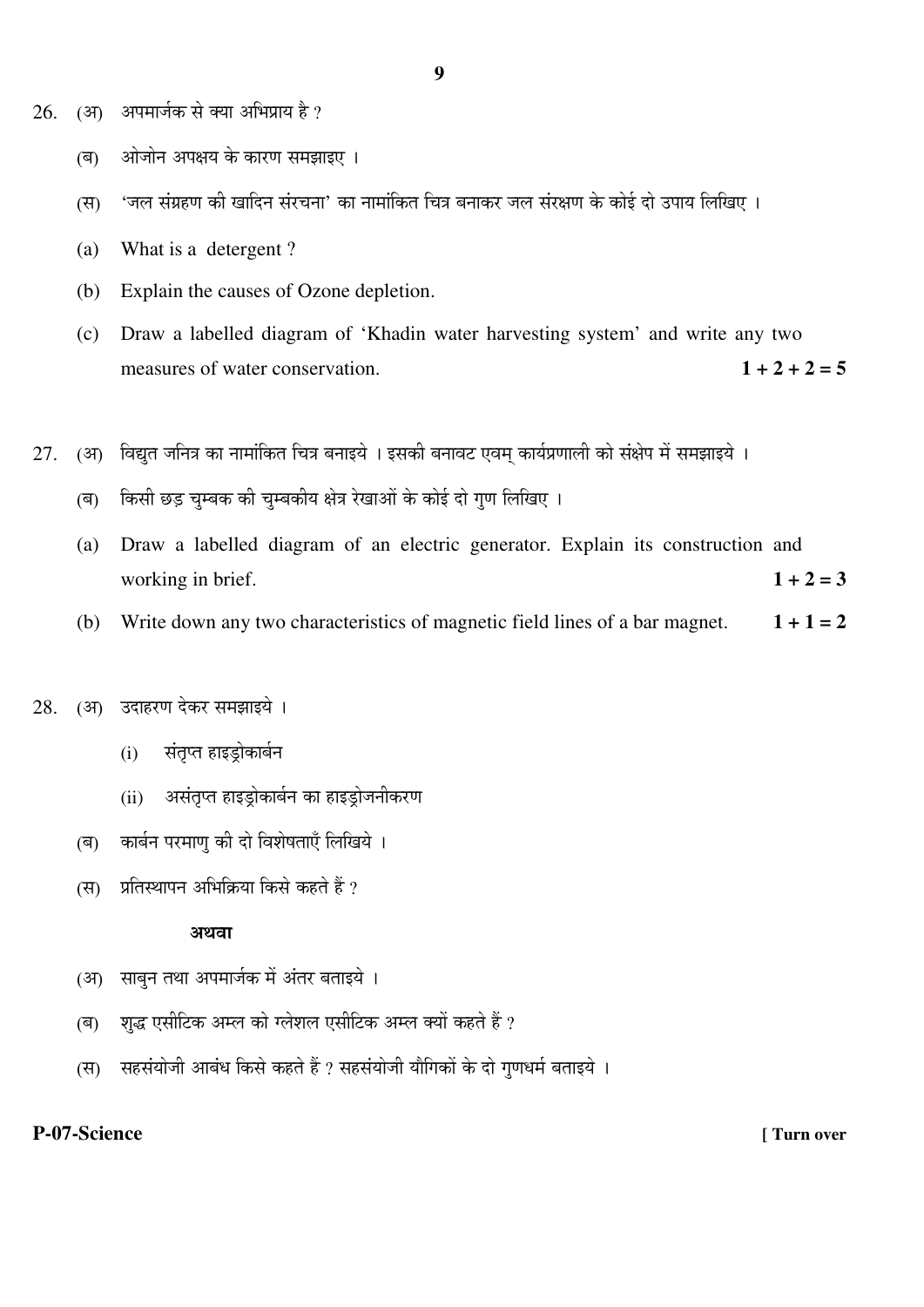- $26.$  (आ) अपमार्जक से क्या अभिप्राय है ?
	- (ब) जोजोन अपक्षय के कारण समझाइए ।
	- (स) 'जल संग्रहण की खादिन संरचना' का नामांकित चित्र बनाकर जल संरक्षण के कोई दो उपाय लिखिए ।
	- (a) What is a detergent ?
	- (b) Explain the causes of Ozone depletion.
	- (c) Draw a labelled diagram of 'Khadin water harvesting system' and write any two measures of water conservation.  $1 + 2 + 2 = 5$
- $27.$  (अ) विद्युत जनित्र का नामांकित चित्र बनाइये । इसकी बनावट एवम कार्यप्रणाली को संक्षेप में समझाइये ।
	- (ब) किसी छड़ चुम्बक की चुम्बकीय क्षेत्र रेखाओं के कोई दो गुण लिखिए ।
	- (a) Draw a labelled diagram of an electric generator. Explain its construction and working in brief.  $1 + 2 = 3$
	- (b) Write down any two characteristics of magnetic field lines of a bar magnet.  $1 + 1 = 2$

#### 28. (आ) उदाहरण देकर समझाइये ।

- (i) संतुप्त हाइडोकार्बन
- (ii) असंतृप्त हाइड़ोकार्बन का हाइड़ोजनीकरण
- (ब) कार्बन परमाण की दो विशेषताएँ लिखिये ।
- (स) प्रतिस्थापन अभिक्रिया किसे कहते हैं ?

#### अथवा

- (अ) साबन तथा अपमार्जक में अंतर बताइये ।
- (ब) शब्द एसीटिक अम्ल को ग्लेशल एसीटिक अम्ल क्यों कहते हैं ?
- (स) सहसंयोजी आबंध किसे कहते हैं ? सहसंयोजी यौगिकों के दो गणधर्म बताइये ।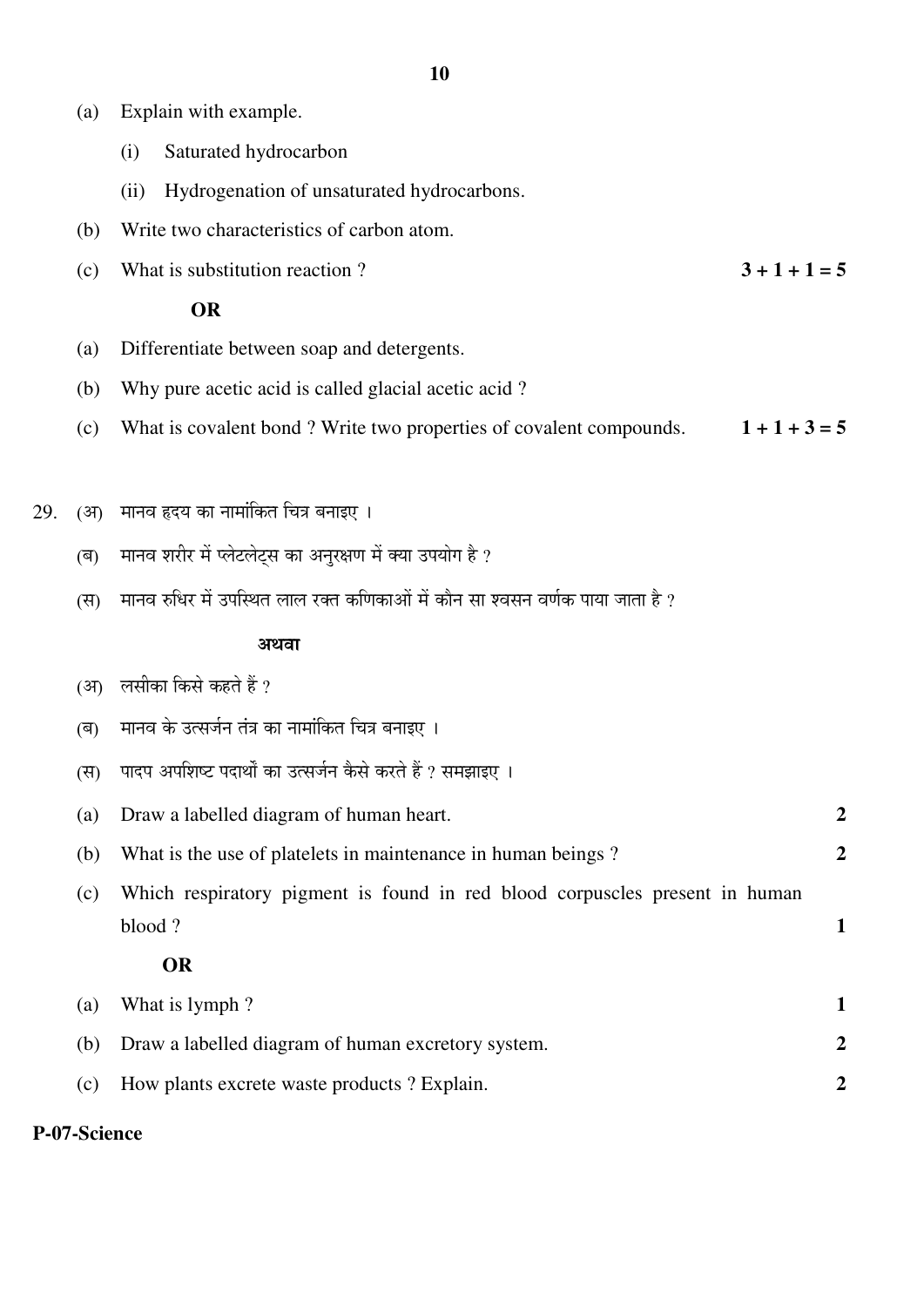- (a) Explain with example.
	- (i) Saturated hydrocarbon
	- (ii) Hydrogenation of unsaturated hydrocarbons.
- (b) Write two characteristics of carbon atom.
- (c) What is substitution reaction ?  $3 + 1 + 1 = 5$

#### **OR**

- (a) Differentiate between soap and detergents.
- (b) Why pure acetic acid is called glacial acetic acid ?
- (c) What is covalent bond ? Write two properties of covalent compounds.  $1 + 1 + 3 = 5$
- 29. (अ) मानव हृदय का नामांकित चित्र बनाइए ।
	- (ब) ग्वानव शरीर में प्लेटलेटस का अनरक्षण में क्या उपयोग है ?
	- (स)  $\,$  मानव रुधिर में उपस्थित लाल रक्त कणिकाओं में कौन सा श्वसन वर्णक पाया जाता है ?

## $\mathbb{Z}^{\mathbb{Z}}$ ि $\mathbb{Z}^{\mathbb{Z}}$ ि $\mathbb{Z}^{\mathbb{Z}}$ ि $\mathbb{Z}^{\mathbb{Z}}$ अथवा

#### (अ) लसीका किसे कहते हैं ?

- (ब) मानव के उत्सर्जन तंत्र का नामांकित चित्र बनाइए ।
- (स) पादप अपशिष्ट पदार्थों का उत्सर्जन कैसे करते हैं ? समझाइए ।
- (a) Draw a labelled diagram of human heart. **2**
	- (b) What is the use of platelets in maintenance in human beings ? **2**
	- (c) Which respiratory pigment is found in red blood corpuscles present in human blood ? **1**

#### **OR**

|     | (a) What is lymph?                                 |  |
|-----|----------------------------------------------------|--|
|     | Draw a labelled diagram of human excretory system. |  |
| (c) | How plants excrete waste products? Explain.        |  |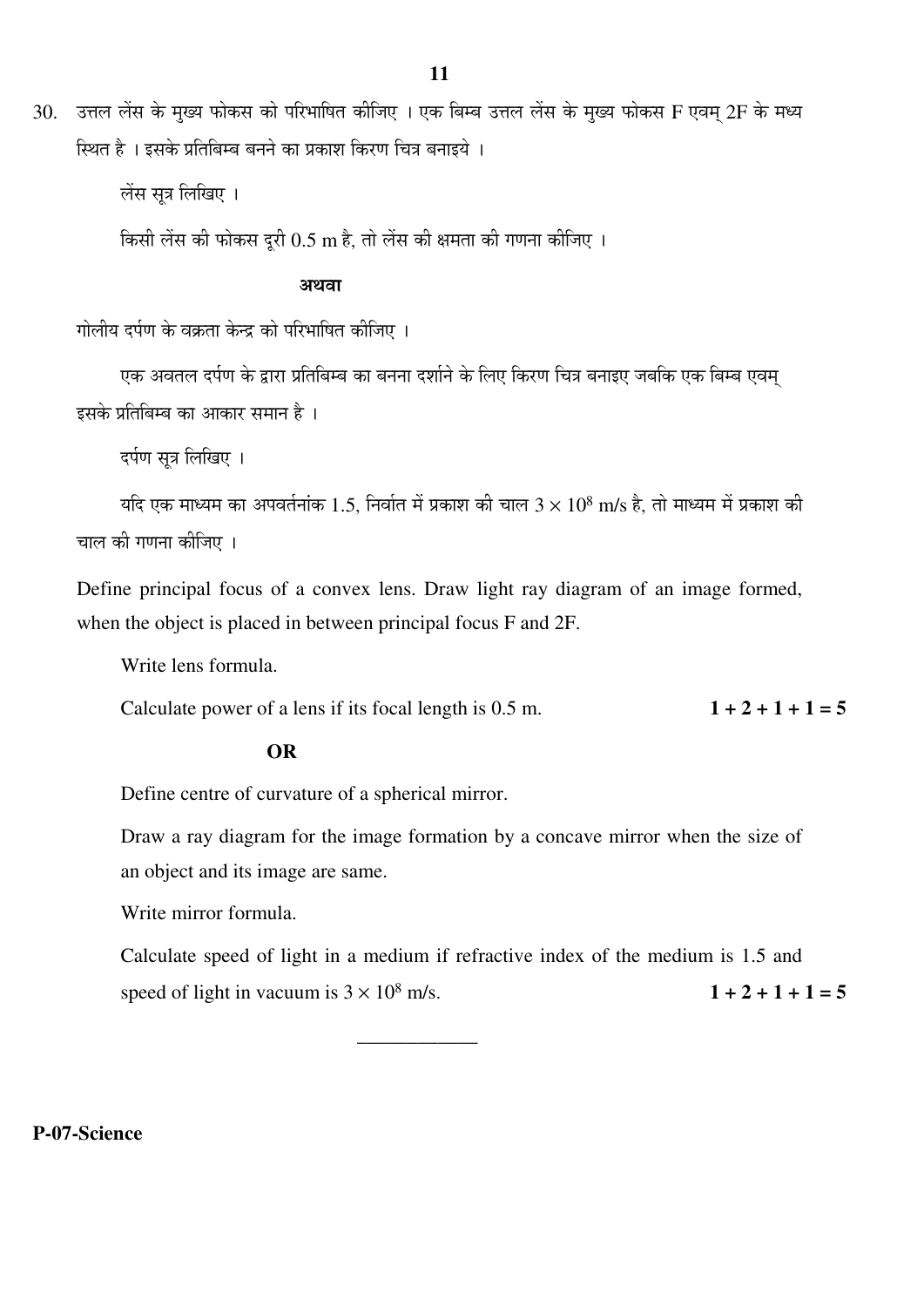$30.$  उत्तल लेंस के मख्य फोकस को परिभाषित कीजिए । एक बिम्ब उत्तल लेंस के मख्य फोकस F एवम 2F के मध्य <u>स्थित है । इसके प्रतिबिम्ब बनने का प्रकाश किरण चित्र बनाइये ।</u>

लेंस सूत्र लिखिए ।

किसी लेंस की फोकस दुरी  $0.5 \text{ m}$  है, तो लेंस की क्षमता की गणना कीजिए ।

## $\mathbb{Z}^{\mathbb{Z}}$ Ö $\mathbb{Z}^{\mathbb{Z}}$ Ö $\mathbb{Z}^{\mathbb{Z}}$ Ö $\mathbb{Z}^{\mathbb{Z}}$ Ə $\mathbb{Z}$ Ə $\mathbb{Z}$ Ə $\mathbb{Z}$ Ə $\mathbb{Z}$

गोलीय दर्पण के वक्रता केन्द्र को परिभाषित कीजिए ।

एक अवतल दर्पण के द्वारा प्रतिबिम्ब का बनना दर्शाने के लिए किरण चित्र बनाइए जबकि एक बिम्ब एवम् इसके प्रतिबिम्ब का आकार समान है ।

दर्पण सत्र लिखिए ।

यदि एक माध्यम का अपवर्तनांक 1.5, निर्वात में प्रकाश की चाल 3  $\times$   $10^8$  m/s है, तो माध्यम में प्रकाश की चाल की गणना कीजिए ।

Define principal focus of a convex lens. Draw light ray diagram of an image formed, when the object is placed in between principal focus F and 2F.

Write lens formula.

Calculate power of a lens if its focal length is  $0.5$  m.  $1 + 2 + 1 + 1 = 5$ 

### **OR**

Define centre of curvature of a spherical mirror.

 Draw a ray diagram for the image formation by a concave mirror when the size of an object and its image are same.

Write mirror formula.

 Calculate speed of light in a medium if refractive index of the medium is 1.5 and speed of light in vacuum is  $3 \times 10^8$  m/s.  $1 + 2 + 1 + 1 = 5$ 

\_\_\_\_\_\_\_\_\_\_\_\_